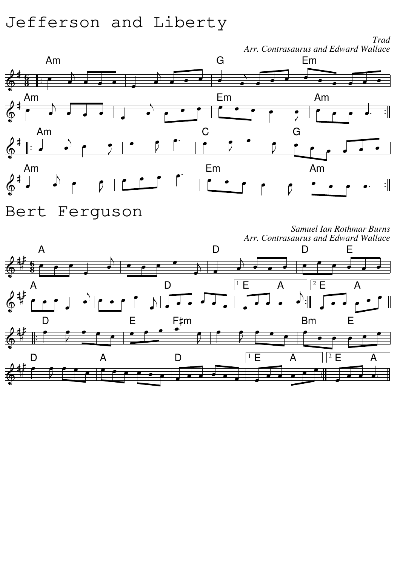# Jefferson and Liberty

*Arr. Contrasaurus and Edward Wallace* Am G Em **6** ⋣ **8** Am Em Am Am C G Am Em Am  $\frac{1}{2}$ 



*Samuel Ian Rothmar Burns Arr. Contrasaurus and Edward Wallace*

*Trad*

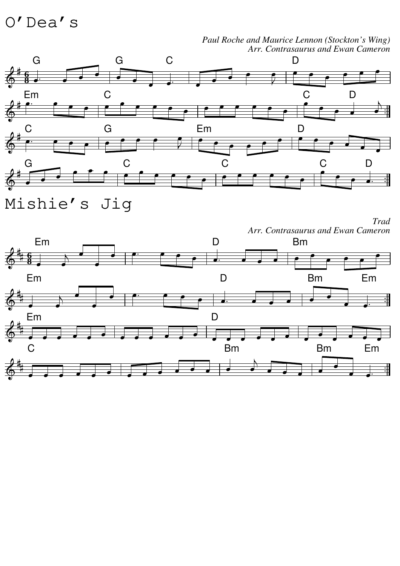### O'Dea's



#### *Paul Roche and Maurice Lennon (Stockton's Wing) Arr. Contrasaurus and Ewan Cameron*

Mishie's Jig

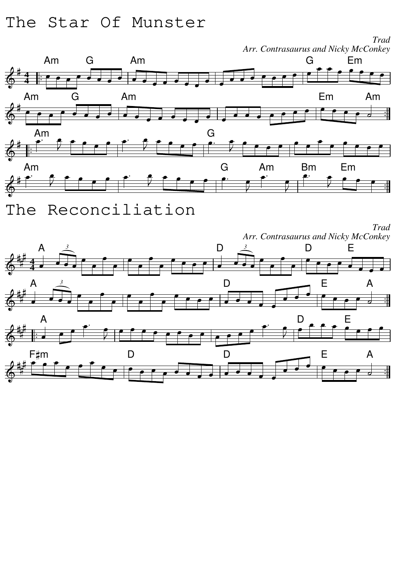### The Star Of Munster



The Reconciliation

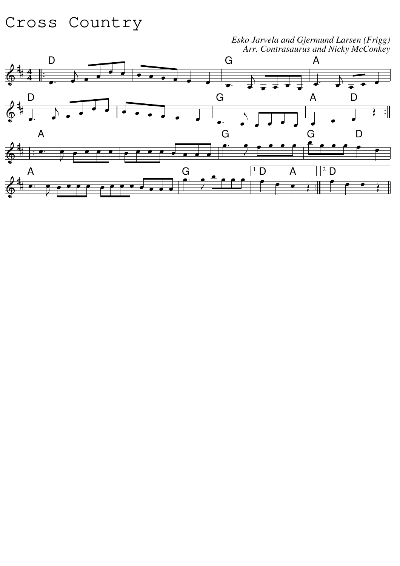### Cross Country

*Esko Jarvela and Gjermund Larsen (Frigg) Arr. Contrasaurus and Nicky McConkey*

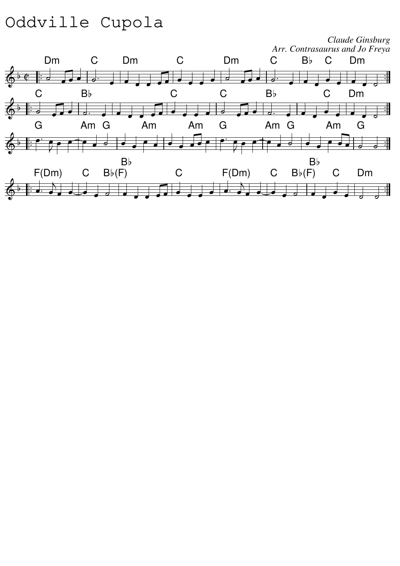# Oddville Cupola

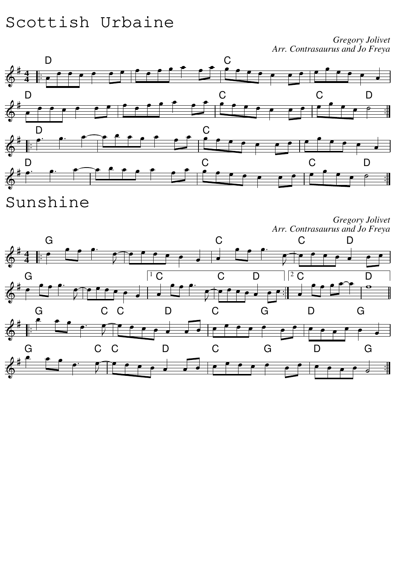# Scottish Urbaine

*Gregory Jolivet Arr. Contrasaurus and Jo Freya*



Sunshine

*Gregory Jolivet Arr. Contrasaurus and Jo Freya*